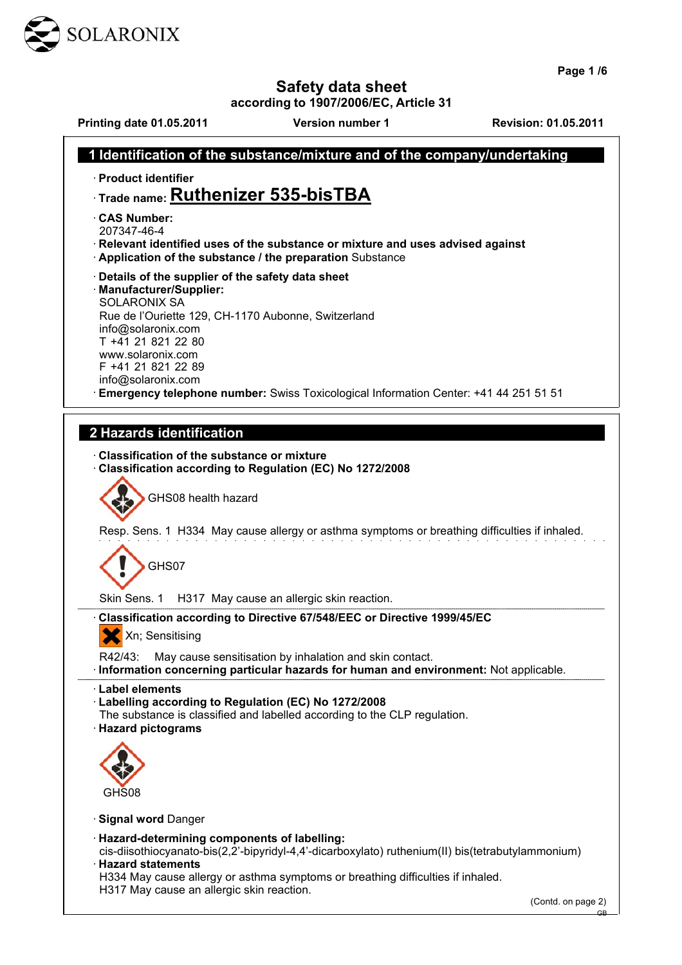

**Page 1 /6**

GB

**Safety data sheet**

**according to 1907/2006/EC, Article 31**

**Printing date 01.05.2011 Version number 1 Revision: 01.05.2011**

| Identification of the substance/mixture and of the company/undertaking                                                                      |
|---------------------------------------------------------------------------------------------------------------------------------------------|
| · Product identifier                                                                                                                        |
| $\cdot$ Trade name: Ruthenizer 535-bisTBA                                                                                                   |
| <b>CAS Number:</b>                                                                                                                          |
| 207347-46-4                                                                                                                                 |
| · Relevant identified uses of the substance or mixture and uses advised against<br>Application of the substance / the preparation Substance |
| Details of the supplier of the safety data sheet                                                                                            |
| · Manufacturer/Supplier:                                                                                                                    |
| <b>SOLARONIX SA</b><br>Rue de l'Ouriette 129, CH-1170 Aubonne, Switzerland                                                                  |
| info@solaronix.com                                                                                                                          |
| T +41 21 821 22 80<br>www.solaronix.com                                                                                                     |
| F +41 21 821 22 89                                                                                                                          |
| info@solaronix.com<br>Emergency telephone number: Swiss Toxicological Information Center: +41 44 251 51 51                                  |
|                                                                                                                                             |
| 2 Hazards identification                                                                                                                    |
|                                                                                                                                             |
| <b>Classification of the substance or mixture</b><br>Classification according to Regulation (EC) No 1272/2008                               |
|                                                                                                                                             |
| GHS08 health hazard                                                                                                                         |
| Resp. Sens. 1 H334 May cause allergy or asthma symptoms or breathing difficulties if inhaled.                                               |
|                                                                                                                                             |
| GHS07                                                                                                                                       |
|                                                                                                                                             |
| Skin Sens. 1<br>H317 May cause an allergic skin reaction.                                                                                   |
| Classification according to Directive 67/548/EEC or Directive 1999/45/EC                                                                    |
| Xn; Sensitising<br>$\mathbf{v}$                                                                                                             |
| May cause sensitisation by inhalation and skin contact.<br>R42/43:                                                                          |
| · Information concerning particular hazards for human and environment: Not applicable.                                                      |
| · Label elements<br>· Labelling according to Regulation (EC) No 1272/2008                                                                   |
| The substance is classified and labelled according to the CLP regulation.                                                                   |
| · Hazard pictograms                                                                                                                         |
|                                                                                                                                             |
|                                                                                                                                             |
| GHS08                                                                                                                                       |
| <b>Signal word Danger</b>                                                                                                                   |
| · Hazard-determining components of labelling:                                                                                               |
| cis-diisothiocyanato-bis(2,2'-bipyridyl-4,4'-dicarboxylato) ruthenium(II) bis(tetrabutylammonium)                                           |
| <b>Hazard statements</b><br>H334 May cause allergy or asthma symptoms or breathing difficulties if inhaled.                                 |
| H317 May cause an allergic skin reaction.                                                                                                   |
| (Contd. on page 2)                                                                                                                          |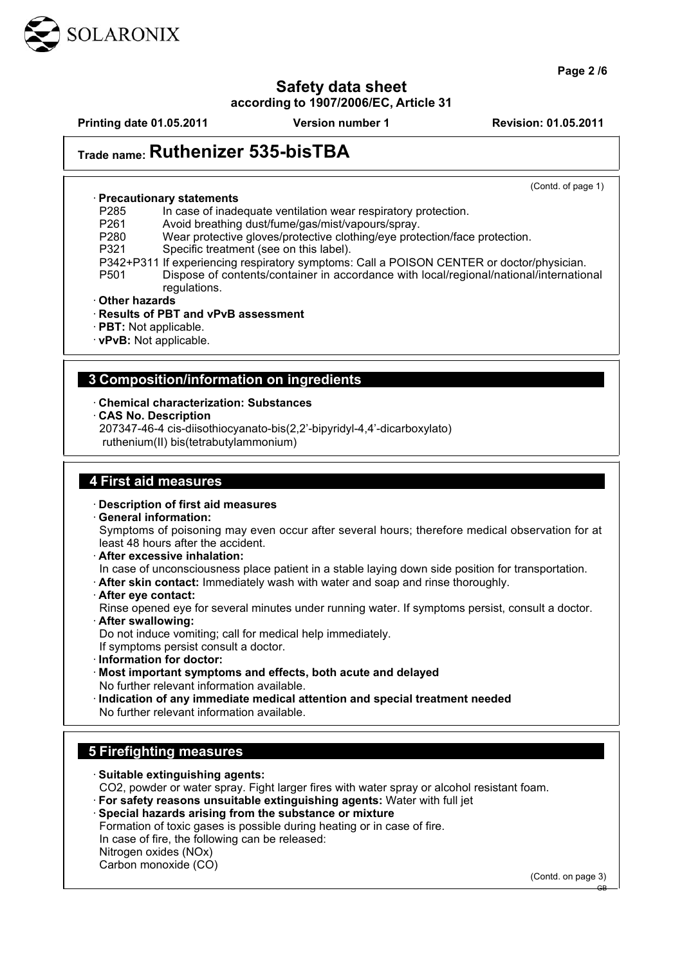

**Page 2 /6**

# **Safety data sheet**

**according to 1907/2006/EC, Article 31**

**Printing date 01.05.2011 Version number 1 Revision: 01.05.2011**

# **Trade name: Ruthenizer 535-bisTBA**

(Contd. of page 1)

#### · **Precautionary statements**

P285 In case of inadequate ventilation wear respiratory protection.<br>P261 Avoid breathing dust/fume/gas/mist/vapours/spray.

P261 Avoid breathing dust/fume/gas/mist/vapours/spray.<br>P280 Wear protective gloves/protective clothing/eve prote

Wear protective gloves/protective clothing/eye protection/face protection.

P321 Specific treatment (see on this label).

- P342+P311 If experiencing respiratory symptoms: Call a POISON CENTER or doctor/physician. P501 Dispose of contents/container in accordance with local/regional/national/international
	- regulations.
- · **Other hazards**
- · **Results of PBT and vPvB assessment**
- · **PBT:** Not applicable.
- · **vPvB:** Not applicable.

#### **3 Composition/information on ingredients**

#### · **Chemical characterization: Substances**

· **CAS No. Description**

207347-46-4 cis-diisothiocyanato-bis(2,2'-bipyridyl-4,4'-dicarboxylato)

ruthenium(II) bis(tetrabutylammonium)

#### **4 First aid measures**

- · **Description of first aid measures**
- · **General information:**

Symptoms of poisoning may even occur after several hours; therefore medical observation for at least 48 hours after the accident.

· **After excessive inhalation:**

In case of unconsciousness place patient in a stable laying down side position for transportation.

- · **After skin contact:** Immediately wash with water and soap and rinse thoroughly.
- · **After eye contact:**

Rinse opened eye for several minutes under running water. If symptoms persist, consult a doctor. · **After swallowing:**

Do not induce vomiting; call for medical help immediately.

- If symptoms persist consult a doctor.
- · **Information for doctor:**
- · **Most important symptoms and effects, both acute and delayed** No further relevant information available.
- · **Indication of any immediate medical attention and special treatment needed** No further relevant information available.

#### **5 Firefighting measures**

- · **Suitable extinguishing agents:** CO2, powder or water spray. Fight larger fires with water spray or alcohol resistant foam. · **For safety reasons unsuitable extinguishing agents:** Water with full jet · **Special hazards arising from the substance or mixture** Formation of toxic gases is possible during heating or in case of fire.
	- In case of fire, the following can be released:
- Nitrogen oxides (NOx)
- Carbon monoxide (CO)

(Contd. on page 3)

GB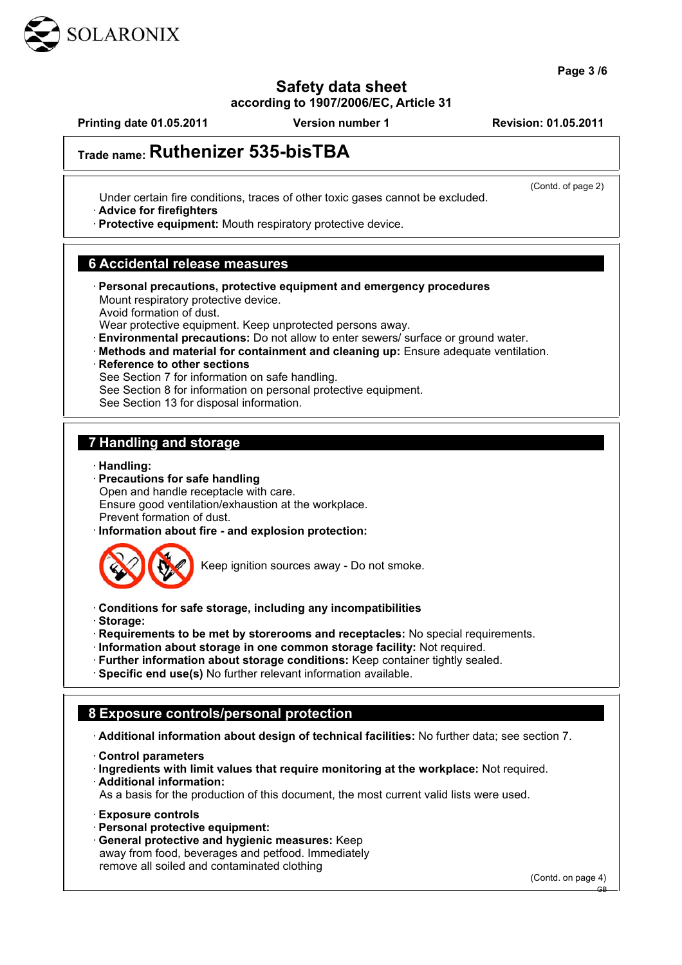

# **Safety data sheet**

**according to 1907/2006/EC, Article 31**

**Printing date 01.05.2011 Version number 1 Revision: 01.05.2011**

(Contd. of page 2)

# **Trade name: Ruthenizer 535-bisTBA**

Under certain fire conditions, traces of other toxic gases cannot be excluded.

· **Advice for firefighters**

· **Protective equipment:** Mouth respiratory protective device.

#### **6 Accidental release measures**

· **Personal precautions, protective equipment and emergency procedures** Mount respiratory protective device. Avoid formation of dust.

Wear protective equipment. Keep unprotected persons away.

- · **Environmental precautions:** Do not allow to enter sewers/ surface or ground water.
- · **Methods and material for containment and cleaning up:** Ensure adequate ventilation.
- **Reference to other sections**
- See Section 7 for information on safe handling.

See Section 8 for information on personal protective equipment.

See Section 13 for disposal information.

#### **7 Handling and storage**

- · **Handling:**
- · **Precautions for safe handling** Open and handle receptacle with care. Ensure good ventilation/exhaustion at the workplace. Prevent formation of dust.
- · **Information about fire and explosion protection:**



Keep ignition sources away - Do not smoke.

- · **Conditions for safe storage, including any incompatibilities**
- · **Storage:**
- · **Requirements to be met by storerooms and receptacles:** No special requirements.
- · **Information about storage in one common storage facility:** Not required.
- · **Further information about storage conditions:** Keep container tightly sealed.
- · **Specific end use(s)** No further relevant information available.

#### **8 Exposure controls/personal protection**

· **Additional information about design of technical facilities:** No further data; see section 7.

· **Control parameters**

· **Ingredients with limit values that require monitoring at the workplace:** Not required.

· **Additional information:**

As a basis for the production of this document, the most current valid lists were used.

- · **Exposure controls**
- · **Personal protective equipment:**
- · **General protective and hygienic measures:** Keep away from food, beverages and petfood. Immediately remove all soiled and contaminated clothing

(Contd. on page 4)

GB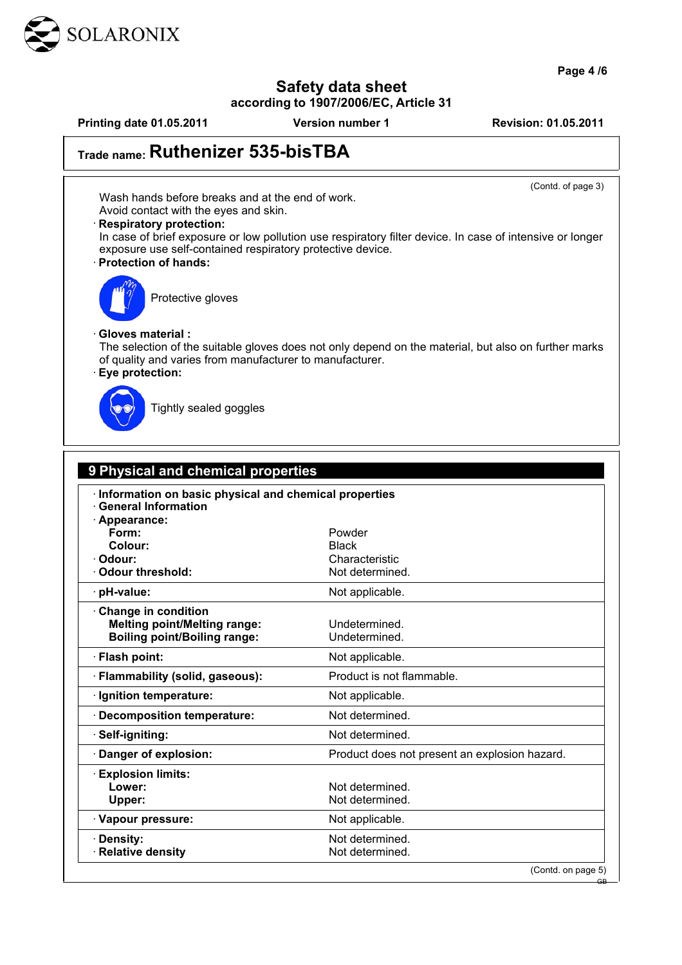

**Page 4 /6**

# **Safety data sheet**

**according to 1907/2006/EC, Article 31**

**Printing date 01.05.2011 Version number 1 Revision: 01.05.2011**

(Contd. of page 3)

# **Trade name: Ruthenizer 535-bisTBA**

Wash hands before breaks and at the end of work. Avoid contact with the eyes and skin.

#### · **Respiratory protection:**

In case of brief exposure or low pollution use respiratory filter device. In case of intensive or longer exposure use self-contained respiratory protective device. · **Protection of hands:**



Protective gloves

#### · **Gloves material :**

The selection of the suitable gloves does not only depend on the material, but also on further marks of quality and varies from manufacturer to manufacturer.

#### · **Eye protection:**



Tightly sealed goggles

| 9 Physical and chemical properties                                                                   |                                               |
|------------------------------------------------------------------------------------------------------|-----------------------------------------------|
| Information on basic physical and chemical properties<br><b>General Information</b><br>· Appearance: |                                               |
| Form:                                                                                                | Powder                                        |
| Colour:<br>Odour:                                                                                    | <b>Black</b><br>Characteristic                |
| · Odour threshold:                                                                                   | Not determined.                               |
| · pH-value:                                                                                          | Not applicable.                               |
| Change in condition<br><b>Melting point/Melting range:</b><br><b>Boiling point/Boiling range:</b>    | Undetermined.<br>Undetermined.                |
| · Flash point:                                                                                       | Not applicable.                               |
| · Flammability (solid, gaseous):                                                                     | Product is not flammable.                     |
| · Ignition temperature:                                                                              | Not applicable.                               |
| · Decomposition temperature:                                                                         | Not determined.                               |
| · Self-igniting:                                                                                     | Not determined.                               |
| · Danger of explosion:                                                                               | Product does not present an explosion hazard. |
| <b>Explosion limits:</b><br>Lower:<br>Upper:                                                         | Not determined.<br>Not determined.            |
| · Vapour pressure:                                                                                   | Not applicable.                               |
| · Density:<br>· Relative density                                                                     | Not determined.<br>Not determined.            |
|                                                                                                      | (Contd. on page 5)                            |

GB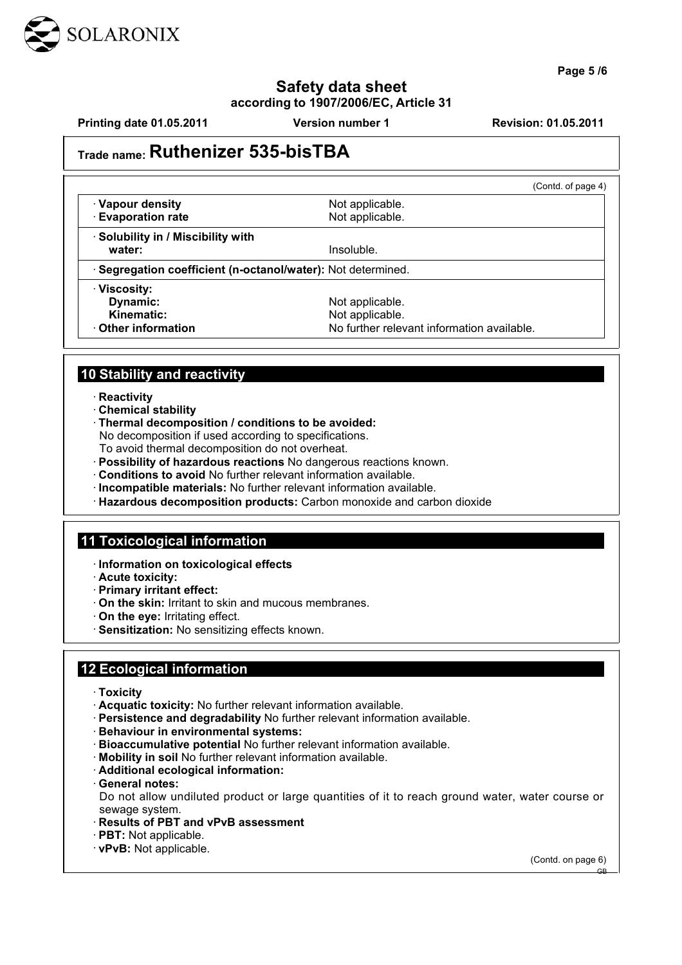

**Page 5 /6**

#### **Safety data sheet according to 1907/2006/EC, Article 31**

**Printing date 01.05.2011 Version number 1 Revision: 01.05.2011**

# **Trade name: Ruthenizer 535-bisTBA**

|                                                              | (Contd. of page 4)                                                               |
|--------------------------------------------------------------|----------------------------------------------------------------------------------|
| · Vapour density<br><b>Evaporation rate</b>                  | Not applicable.<br>Not applicable.                                               |
| · Solubility in / Miscibility with<br>water:                 | Insoluble.                                                                       |
| · Segregation coefficient (n-octanol/water): Not determined. |                                                                                  |
| · Viscosity:<br>Dynamic:<br>Kinematic:<br>Other information  | Not applicable.<br>Not applicable.<br>No further relevant information available. |

### **10 Stability and reactivity**

· **Reactivity**

- · **Chemical stability**
- · **Thermal decomposition / conditions to be avoided:**
- No decomposition if used according to specifications.
- To avoid thermal decomposition do not overheat.
- · **Possibility of hazardous reactions** No dangerous reactions known.
- · **Conditions to avoid** No further relevant information available.
- · **Incompatible materials:** No further relevant information available.
- · **Hazardous decomposition products:** Carbon monoxide and carbon dioxide

#### **11 Toxicological information**

- · **Information on toxicological effects**
- · **Acute toxicity:**
- · **Primary irritant effect:**
- · **On the skin:** Irritant to skin and mucous membranes.
- · **On the eye:** Irritating effect.
- · **Sensitization:** No sensitizing effects known.

## **12 Ecological information**

- · **Toxicity**
- · **Acquatic toxicity:** No further relevant information available.
- · **Persistence and degradability** No further relevant information available.
- · **Behaviour in environmental systems:**
- · **Bioaccumulative potential** No further relevant information available.
- · **Mobility in soil** No further relevant information available.
- · **Additional ecological information:**
- · **General notes:**
- Do not allow undiluted product or large quantities of it to reach ground water, water course or sewage system.
- · **Results of PBT and vPvB assessment**
- · **PBT:** Not applicable.
- · **vPvB:** Not applicable.

(Contd. on page 6)

GB